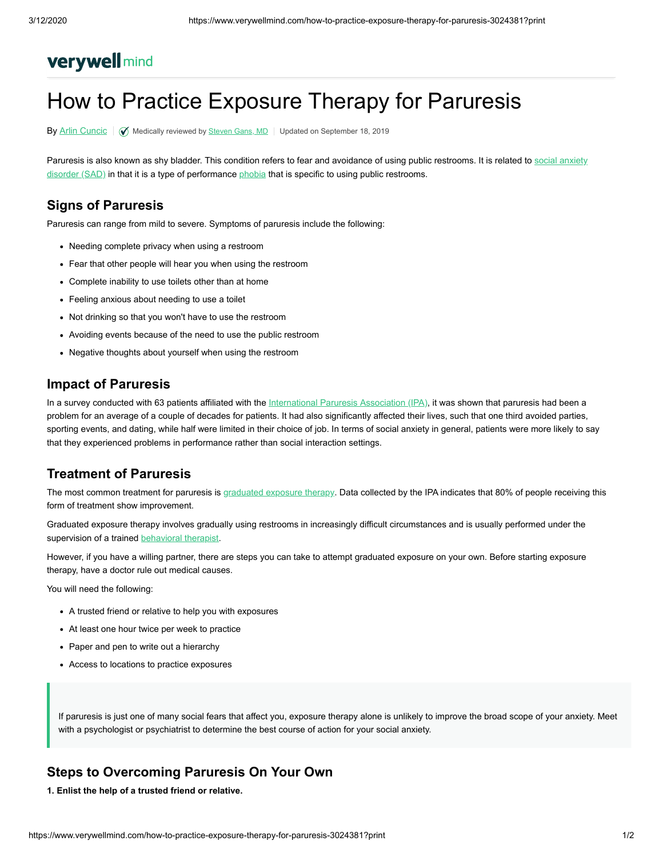# **verywell mind**

# How to Practice Exposure Therapy for Paruresis

By [Arlin Cuncic](https://www.verywellmind.com/arlin-cuncic-3024162) |  $\oslash$  Medically reviewed by [Steven](https://www.verywellmind.com/steven-gans-4779222) Gans, MD | Updated on September 18, 2019

[Paruresis is also known as shy bladder. This condition refers to fear and avoidance of using public restrooms. It is related to social anxiety](https://www.verywellmind.com/social-anxiety-disorder-4157220) disorder (SAD) in that it is a type of performance [phobia](https://www.verywellmind.com/list-of-phobias-2795453) that is specific to using public restrooms.

## **Signs of Paruresis**

Paruresis can range from mild to severe. Symptoms of paruresis include the following:

- Needing complete privacy when using a restroom
- Fear that other people will hear you when using the restroom
- Complete inability to use toilets other than at home
- Feeling anxious about needing to use a toilet
- Not drinking so that you won't have to use the restroom
- Avoiding events because of the need to use the public restroom
- Negative thoughts about yourself when using the restroom

### **Impact of Paruresis**

In a survey conducted with 63 patients affiliated with the [International Paruresis Association \(IPA\)](http://www.paruresis.org/), it was shown that paruresis had been a problem for an average of a couple of decades for patients. It had also significantly affected their lives, such that one third avoided parties, sporting events, and dating, while half were limited in their choice of job. In terms of social anxiety in general, patients were more likely to say that they experienced problems in performance rather than social interaction settings.

## **Treatment of Paruresis**

The most common treatment for paruresis is [graduated exposure therapy](https://www.verywellmind.com/practice-social-anxiety-disorder-exposure-therapy-3024845). Data collected by the IPA indicates that 80% of people receiving this form of treatment show improvement.

Graduated exposure therapy involves gradually using restrooms in increasingly difficult circumstances and is usually performed under the supervision of a trained [behavioral therapist](https://www.verywellmind.com/what-is-behavioral-therapy-2795998).

However, if you have a willing partner, there are steps you can take to attempt graduated exposure on your own. Before starting exposure therapy, have a doctor rule out medical causes.

You will need the following:

- A trusted friend or relative to help you with exposures
- At least one hour twice per week to practice
- Paper and pen to write out a hierarchy
- Access to locations to practice exposures

If paruresis is just one of many social fears that affect you, exposure therapy alone is unlikely to improve the broad scope of your anxiety. Meet with a psychologist or psychiatrist to determine the best course of action for your social anxiety.

## **Steps to Overcoming Paruresis On Your Own**

**1. Enlist the help of a trusted friend or relative.**